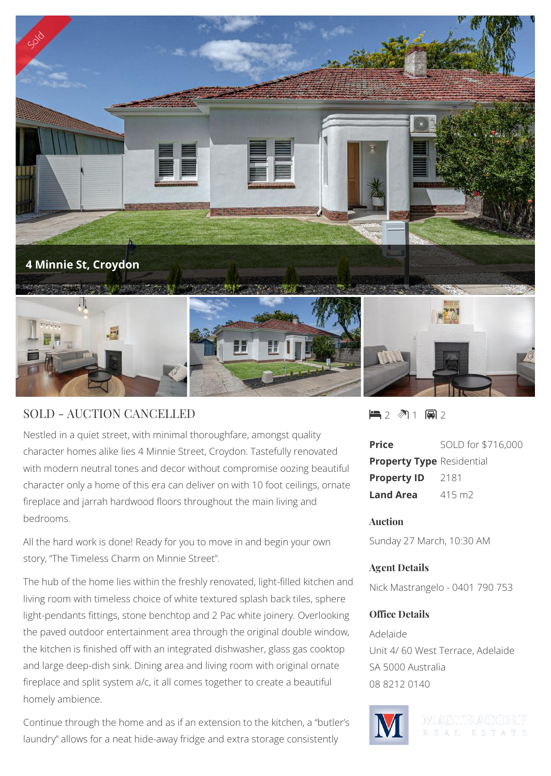

## SOLD - AUCTION CANCELLED

Nestled in a quiet street, with minimal thoroughfare, amongst quality character homes alike lies 4 Minnie Street, Croydon. Tastefully renovated with modern neutral tones and decor without compromise oozing beautiful character only a home of this era can deliver on with 10 foot ceilings, ornate fireplace and jarrah hardwood floors throughout the main living and bedrooms.

All the hard work is done! Ready for you to move in and begin your own story, "The Timeless Charm on Minnie Street".

The hub of the home lies within the freshly renovated, light-filled kitchen and living room with timeless choice of white textured splash back tiles, sphere light-pendants fittings, stone benchtop and 2 Pac white joinery. Overlooking the paved outdoor entertainment area through the original double window, the kitchen is finished off with an integrated dishwasher, glass gas cooktop and large deep-dish sink. Dining area and living room with original ornate fireplace and split system a/c, it all comes together to create a beautiful homely ambience.

Continue through the home and as if an extension to the kitchen, a "butler's laundry" allows for a neat hide-away fridge and extra storage consistently

 $-2$   $\sqrt[3]{1}$   $-2$ 

| Price                            | SOLD for \$716,000 |
|----------------------------------|--------------------|
| <b>Property Type Residential</b> |                    |
| <b>Property ID</b>               | 2181               |
| Land Area                        | $415 \text{ m}$    |

#### **Auction**

Sunday 27 March, 10:30 AM

#### **Agent Details**

Nick Mastrangelo - 0401 790 753

### **Office Details**

Adelaide Unit 4/ 60 West Terrace, Adelaide SA 5000 Australia 08 8212 0140